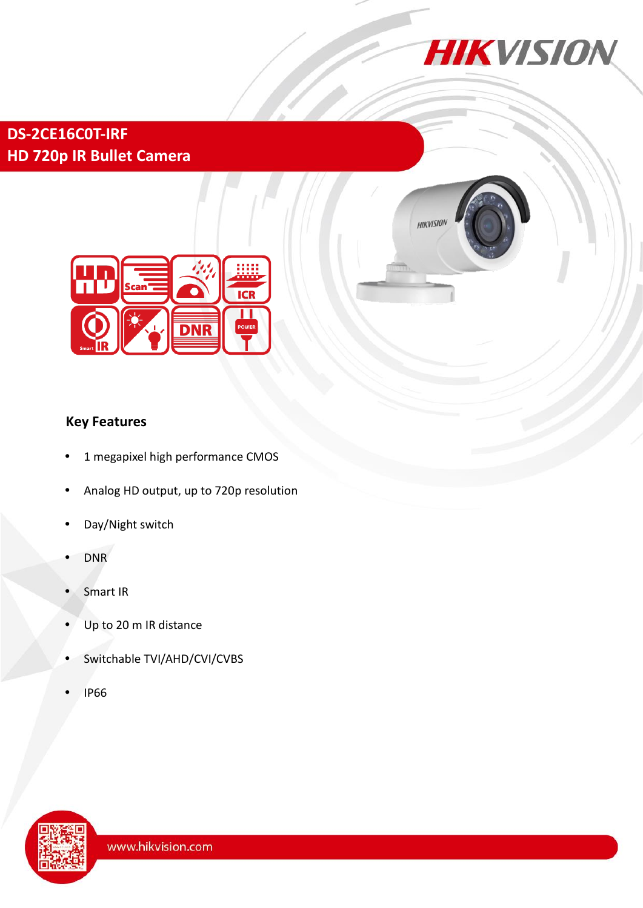

**HIKVISION** 

## **DS-2CE16C0T-IRF HD 720p IR Bullet Camera**



## **Key Features**

- 1 megapixel high performance CMOS
- Analog HD output, up to 720p resolution
- Day/Night switch
- DNR
- Smart IR
- Up to 20 m IR distance
- Switchable TVI/AHD/CVI/CVBS
- IP66

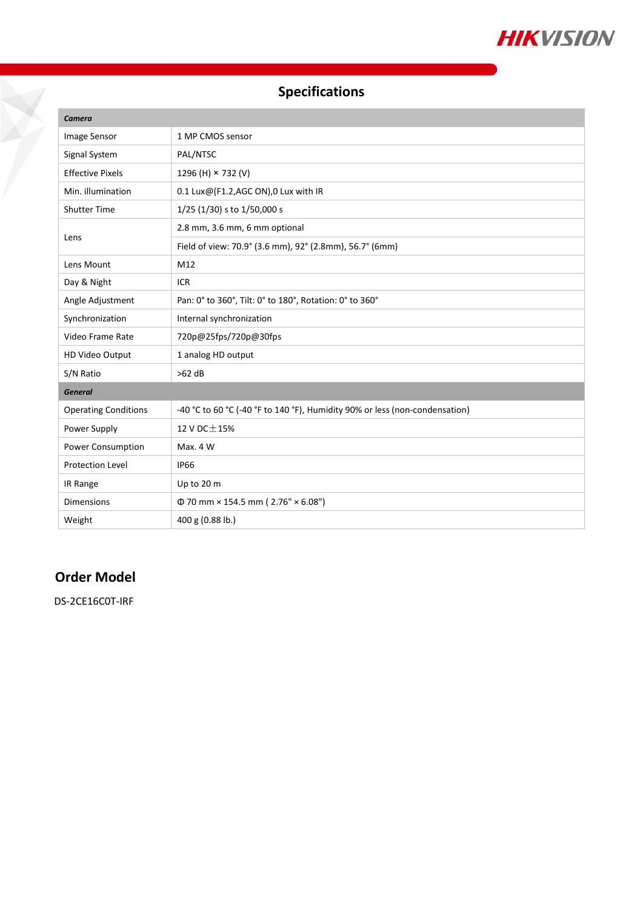

# **Specifications**

| Camera                      |                                                                             |
|-----------------------------|-----------------------------------------------------------------------------|
| Image Sensor                | 1 MP CMOS sensor                                                            |
| Signal System               | PAL/NTSC                                                                    |
| <b>Effective Pixels</b>     | 1296 (H) × 732 (V)                                                          |
| Min. illumination           | $0.1$ Lux@(F1.2,AGC ON),0 Lux with IR                                       |
| <b>Shutter Time</b>         | 1/25 (1/30) s to 1/50,000 s                                                 |
| Lens                        | 2.8 mm, 3.6 mm, 6 mm optional                                               |
|                             | Field of view: 70.9° (3.6 mm), 92° (2.8mm), 56.7° (6mm)                     |
| Lens Mount                  | M12                                                                         |
| Day & Night                 | <b>ICR</b>                                                                  |
| Angle Adjustment            | Pan: 0° to 360°, Tilt: 0° to 180°, Rotation: 0° to 360°                     |
| Synchronization             | Internal synchronization                                                    |
| Video Frame Rate            | 720p@25fps/720p@30fps                                                       |
| HD Video Output             | 1 analog HD output                                                          |
| S/N Ratio                   | $>62$ dB                                                                    |
| <b>General</b>              |                                                                             |
| <b>Operating Conditions</b> | -40 °C to 60 °C (-40 °F to 140 °F), Humidity 90% or less (non-condensation) |
| Power Supply                | 12 V DC $\pm$ 15%                                                           |
| Power Consumption           | Max. 4 W                                                                    |
| <b>Protection Level</b>     | <b>IP66</b>                                                                 |
| IR Range                    | Up to 20 m                                                                  |
| <b>Dimensions</b>           | $\Phi$ 70 mm × 154.5 mm (2.76" × 6.08")                                     |
| Weight                      | 400 g (0.88 lb.)                                                            |

### **Order Model**

Ž

DS-2CE16C0T-IRF